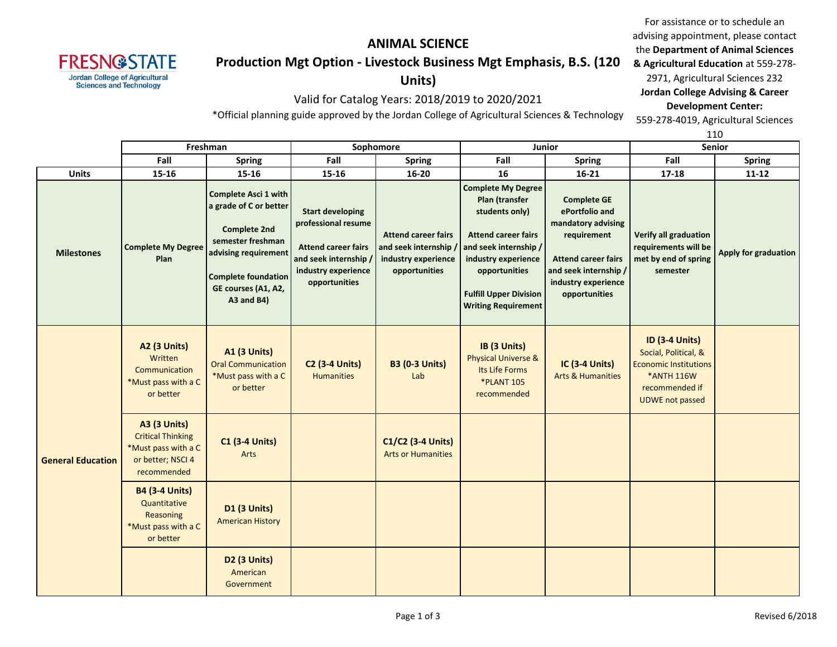

# **ANIMAL SCIENCE Production Mgt Option - Livestock Business Mgt Emphasis, B.S. (120**

**Units)**

Valid for Catalog Years: 2018/2019 to 2020/2021

\*Official planning guide approved by the Jordan College of Agricultural Sciences & Technology

For assistance or to schedule an advising appointment, please contact the **Department of Animal Sciences & Agricultural Education** at 559-278- 2971, Agricultural Sciences 232 **Jordan College Advising & Career Development Center:** 559-278-4019, Agricultural Sciences

 $110$ 

|                          |                                                                                                            |                                                                                                                                                                                              |                                                                                                                                               |                                                                                           | 110                                                                                                                                                                                                                         |                                                                                                                                                                          |                                                                                                                                                |                             |  |
|--------------------------|------------------------------------------------------------------------------------------------------------|----------------------------------------------------------------------------------------------------------------------------------------------------------------------------------------------|-----------------------------------------------------------------------------------------------------------------------------------------------|-------------------------------------------------------------------------------------------|-----------------------------------------------------------------------------------------------------------------------------------------------------------------------------------------------------------------------------|--------------------------------------------------------------------------------------------------------------------------------------------------------------------------|------------------------------------------------------------------------------------------------------------------------------------------------|-----------------------------|--|
|                          | Freshman                                                                                                   |                                                                                                                                                                                              | Sophomore                                                                                                                                     |                                                                                           | <b>Junior</b>                                                                                                                                                                                                               |                                                                                                                                                                          | <b>Senior</b>                                                                                                                                  |                             |  |
|                          | Fall                                                                                                       | <b>Spring</b>                                                                                                                                                                                | Fall                                                                                                                                          | <b>Spring</b>                                                                             | Fall                                                                                                                                                                                                                        | <b>Spring</b>                                                                                                                                                            | Fall                                                                                                                                           | <b>Spring</b>               |  |
| <b>Units</b>             | 15-16                                                                                                      | $15 - 16$                                                                                                                                                                                    | $15 - 16$                                                                                                                                     | $16 - 20$                                                                                 | 16                                                                                                                                                                                                                          | $16 - 21$                                                                                                                                                                | $17 - 18$                                                                                                                                      | $11 - 12$                   |  |
| <b>Milestones</b>        | <b>Complete My Degree</b><br>Plan                                                                          | <b>Complete Asci 1 with</b><br>a grade of C or better<br><b>Complete 2nd</b><br>semester freshman<br>advising requirement<br><b>Complete foundation</b><br>GE courses (A1, A2,<br>A3 and B4) | <b>Start developing</b><br>professional resume<br><b>Attend career fairs</b><br>and seek internship /<br>industry experience<br>opportunities | <b>Attend career fairs</b><br>and seek internship<br>industry experience<br>opportunities | <b>Complete My Degree</b><br>Plan (transfer<br>students only)<br><b>Attend career fairs</b><br>and seek internship /<br>industry experience<br>opportunities<br><b>Fulfill Upper Division</b><br><b>Writing Requirement</b> | <b>Complete GE</b><br>ePortfolio and<br>mandatory advising<br>requirement<br><b>Attend career fairs</b><br>and seek internship /<br>industry experience<br>opportunities | Verify all graduation<br>requirements will be<br>met by end of spring<br>semester                                                              | <b>Apply for graduation</b> |  |
|                          | <b>A2 (3 Units)</b><br>Written<br>Communication<br>*Must pass with a C<br>or better                        | <b>A1 (3 Units)</b><br><b>Oral Communication</b><br>*Must pass with a C<br>or better                                                                                                         | <b>C2 (3-4 Units)</b><br><b>Humanities</b>                                                                                                    | <b>B3 (0-3 Units)</b><br>Lab                                                              | IB (3 Units)<br><b>Physical Universe &amp;</b><br>Its Life Forms<br><b>*PLANT 105</b><br>recommended                                                                                                                        | IC (3-4 Units)<br><b>Arts &amp; Humanities</b>                                                                                                                           | <b>ID (3-4 Units)</b><br>Social, Political, &<br><b>Economic Institutions</b><br><b>*ANTH 116W</b><br>recommended if<br><b>UDWE not passed</b> |                             |  |
| <b>General Education</b> | <b>A3 (3 Units)</b><br><b>Critical Thinking</b><br>*Must pass with a C<br>or better; NSCI 4<br>recommended | <b>C1 (3-4 Units)</b><br>Arts                                                                                                                                                                |                                                                                                                                               | C1/C2 (3-4 Units)<br><b>Arts or Humanities</b>                                            |                                                                                                                                                                                                                             |                                                                                                                                                                          |                                                                                                                                                |                             |  |
|                          | <b>B4 (3-4 Units)</b><br>Quantitative<br>Reasoning<br>*Must pass with a C<br>or better                     | <b>D1 (3 Units)</b><br><b>American History</b>                                                                                                                                               |                                                                                                                                               |                                                                                           |                                                                                                                                                                                                                             |                                                                                                                                                                          |                                                                                                                                                |                             |  |
|                          |                                                                                                            | <b>D2 (3 Units)</b><br>American<br>Government                                                                                                                                                |                                                                                                                                               |                                                                                           |                                                                                                                                                                                                                             |                                                                                                                                                                          |                                                                                                                                                |                             |  |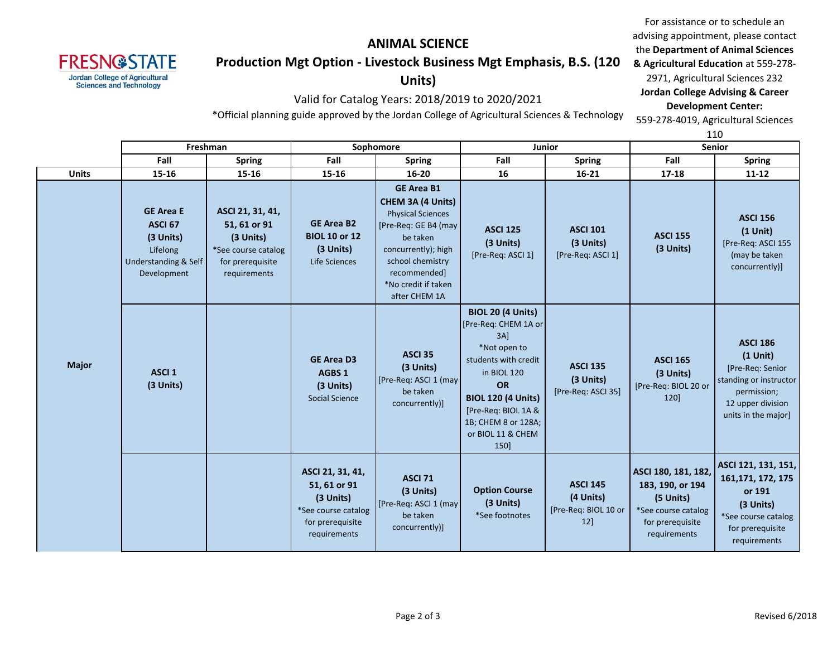

# **ANIMAL SCIENCE Production Mgt Option - Livestock Business Mgt Emphasis, B.S. (120**

# **Units)**

Valid for Catalog Years: 2018/2019 to 2020/2021

For assistance or to schedule an advising appointment, please contact the **Department of Animal Sciences & Agricultural Education** at 559-278- 2971, Agricultural Sciences 232 **Jordan College Advising & Career Development Center:** 559-278-4019, Agricultural Sciences

\*Official planning guide approved by the Jordan College of Agricultural Sciences & Technology

110

|              | Freshman                                                                                               |                                                                                                          |                                                                                                          | Sophomore                                                                                                                                                                                                 |                                                                                                                                                                                                                                        | Junior                                                         |                                                                                                                 | <b>Senior</b>                                                                                                                          |  |
|--------------|--------------------------------------------------------------------------------------------------------|----------------------------------------------------------------------------------------------------------|----------------------------------------------------------------------------------------------------------|-----------------------------------------------------------------------------------------------------------------------------------------------------------------------------------------------------------|----------------------------------------------------------------------------------------------------------------------------------------------------------------------------------------------------------------------------------------|----------------------------------------------------------------|-----------------------------------------------------------------------------------------------------------------|----------------------------------------------------------------------------------------------------------------------------------------|--|
|              |                                                                                                        |                                                                                                          |                                                                                                          |                                                                                                                                                                                                           |                                                                                                                                                                                                                                        |                                                                |                                                                                                                 |                                                                                                                                        |  |
|              | Fall                                                                                                   | <b>Spring</b>                                                                                            | Fall                                                                                                     | <b>Spring</b>                                                                                                                                                                                             | Fall                                                                                                                                                                                                                                   | <b>Spring</b>                                                  | Fall                                                                                                            | <b>Spring</b>                                                                                                                          |  |
| <b>Units</b> | 15-16                                                                                                  | $15 - 16$                                                                                                | 15-16                                                                                                    | $16 - 20$                                                                                                                                                                                                 | 16                                                                                                                                                                                                                                     | $16 - 21$                                                      | $17 - 18$                                                                                                       | $11 - 12$                                                                                                                              |  |
|              | <b>GE Area E</b><br>ASCI <sub>67</sub><br>(3 Units)<br>Lifelong<br>Understanding & Self<br>Development | ASCI 21, 31, 41,<br>51, 61 or 91<br>(3 Units)<br>*See course catalog<br>for prerequisite<br>requirements | <b>GE Area B2</b><br><b>BIOL 10 or 12</b><br>(3 Units)<br>Life Sciences                                  | <b>GE Area B1</b><br>CHEM 3A (4 Units)<br><b>Physical Sciences</b><br>[Pre-Req: GE B4 (may<br>be taken<br>concurrently); high<br>school chemistry<br>recommended]<br>*No credit if taken<br>after CHEM 1A | <b>ASCI 125</b><br>(3 Units)<br>[Pre-Req: ASCI 1]                                                                                                                                                                                      | <b>ASCI 101</b><br>(3 Units)<br>[Pre-Req: ASCI 1]              | <b>ASCI 155</b><br>(3 Units)                                                                                    | <b>ASCI 156</b><br>$(1$ Unit)<br>[Pre-Req: ASCI 155<br>(may be taken<br>concurrently)]                                                 |  |
| <b>Major</b> | ASCI <sub>1</sub><br>(3 Units)                                                                         |                                                                                                          | <b>GE Area D3</b><br>AGBS 1<br>(3 Units)<br>Social Science                                               | <b>ASCI 35</b><br>(3 Units)<br>[Pre-Req: ASCI 1 (may<br>be taken<br>concurrently)]                                                                                                                        | <b>BIOL 20 (4 Units)</b><br>[Pre-Req: CHEM 1A or<br>$3A$ ]<br>*Not open to<br>students with credit<br>in BIOL 120<br><b>OR</b><br><b>BIOL 120 (4 Units)</b><br>[Pre-Req: BIOL 1A &<br>1B; CHEM 8 or 128A;<br>or BIOL 11 & CHEM<br>150] | <b>ASCI 135</b><br>(3 Units)<br>[Pre-Req: ASCI 35]             | <b>ASCI 165</b><br>(3 Units)<br>[Pre-Req: BIOL 20 or<br>120]                                                    | <b>ASCI 186</b><br>$(1$ Unit)<br>[Pre-Req: Senior<br>standing or instructor<br>permission;<br>12 upper division<br>units in the major] |  |
|              |                                                                                                        |                                                                                                          | ASCI 21, 31, 41,<br>51, 61 or 91<br>(3 Units)<br>*See course catalog<br>for prerequisite<br>requirements | <b>ASCI 71</b><br>(3 Units)<br>[Pre-Req: ASCI 1 (may<br>be taken<br>concurrently)]                                                                                                                        | <b>Option Course</b><br>(3 Units)<br>*See footnotes                                                                                                                                                                                    | <b>ASCI 145</b><br>(4 Units)<br>[Pre-Req: BIOL 10 or<br>$12$ ] | ASCI 180, 181, 182,<br>183, 190, or 194<br>(5 Units)<br>*See course catalog<br>for prerequisite<br>requirements | ASCI 121, 131, 151,<br>161, 171, 172, 175<br>or 191<br>(3 Units)<br>*See course catalog<br>for prerequisite<br>requirements            |  |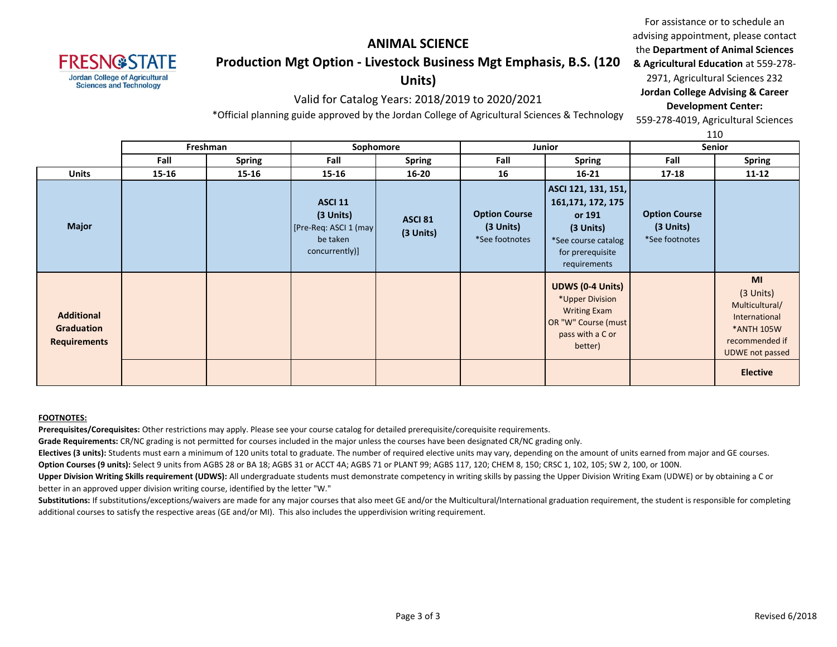

# **ANIMAL SCIENCE Production Mgt Option - Livestock Business Mgt Emphasis, B.S. (120**

## **Units)**

### Valid for Catalog Years: 2018/2019 to 2020/2021

**& Agricultural Education** at 559-278- 2971, Agricultural Sciences 232 **Jordan College Advising & Career Development Center:** 559-278-4019, Agricultural Sciences

\*Official planning guide approved by the Jordan College of Agricultural Sciences & Technology

110

For assistance or to schedule an advising appointment, please contact the **Department of Animal Sciences** 

|                                                        | Freshman<br>Sophomore<br>Junior |        |                                                                                    | ---<br><b>Senior</b>        |                                                     |                                                                                                                               |                                                       |                                                                                                                |
|--------------------------------------------------------|---------------------------------|--------|------------------------------------------------------------------------------------|-----------------------------|-----------------------------------------------------|-------------------------------------------------------------------------------------------------------------------------------|-------------------------------------------------------|----------------------------------------------------------------------------------------------------------------|
|                                                        | Fall                            | Spring | Fall                                                                               | <b>Spring</b>               | Fall                                                | <b>Spring</b>                                                                                                                 | Fall                                                  | <b>Spring</b>                                                                                                  |
| Units                                                  | 15-16                           | 15-16  | 15-16                                                                              | $16 - 20$                   | 16                                                  | $16 - 21$                                                                                                                     | $17 - 18$                                             | 11-12                                                                                                          |
| <b>Major</b>                                           |                                 |        | <b>ASCI 11</b><br>(3 Units)<br>[Pre-Req: ASCI 1 (may<br>be taken<br>concurrently)] | <b>ASCI 81</b><br>(3 Units) | <b>Option Course</b><br>(3 Units)<br>*See footnotes | ASCI 121, 131, 151,<br>161, 171, 172, 175<br>or 191<br>$(3$ Units)<br>*See course catalog<br>for prerequisite<br>requirements | <b>Option Course</b><br>$(3$ Units)<br>*See footnotes |                                                                                                                |
| <b>Additional</b><br>Graduation<br><b>Requirements</b> |                                 |        |                                                                                    |                             |                                                     | <b>UDWS (0-4 Units)</b><br>*Upper Division<br><b>Writing Exam</b><br>OR "W" Course (must<br>pass with a C or<br>better)       |                                                       | MI<br>$(3$ Units)<br>Multicultural/<br>International<br>*ANTH 105W<br>recommended if<br><b>UDWE not passed</b> |
|                                                        |                                 |        |                                                                                    |                             |                                                     |                                                                                                                               |                                                       | <b>Elective</b>                                                                                                |

#### **FOOTNOTES:**

**Prerequisites/Corequisites:** Other restrictions may apply. Please see your course catalog for detailed prerequisite/corequisite requirements.

**Grade Requirements:** CR/NC grading is not permitted for courses included in the major unless the courses have been designated CR/NC grading only.

**Electives (3 units):** Students must earn a minimum of 120 units total to graduate. The number of required elective units may vary, depending on the amount of units earned from major and GE courses.

**Option Courses (9 units):** Select 9 units from AGBS 28 or BA 18; AGBS 31 or ACCT 4A; AGBS 71 or PLANT 99; AGBS 117, 120; CHEM 8, 150; CRSC 1, 102, 105; SW 2, 100, or 100N.

Upper Division Writing Skills requirement (UDWS): All undergraduate students must demonstrate competency in writing skills by passing the Upper Division Writing Exam (UDWE) or by obtaining a C or better in an approved upper division writing course, identified by the letter "W."

Substitutions: If substitutions/exceptions/waivers are made for any major courses that also meet GE and/or the Multicultural/International graduation requirement, the student is responsible for completing additional courses to satisfy the respective areas (GE and/or MI). This also includes the upperdivision writing requirement.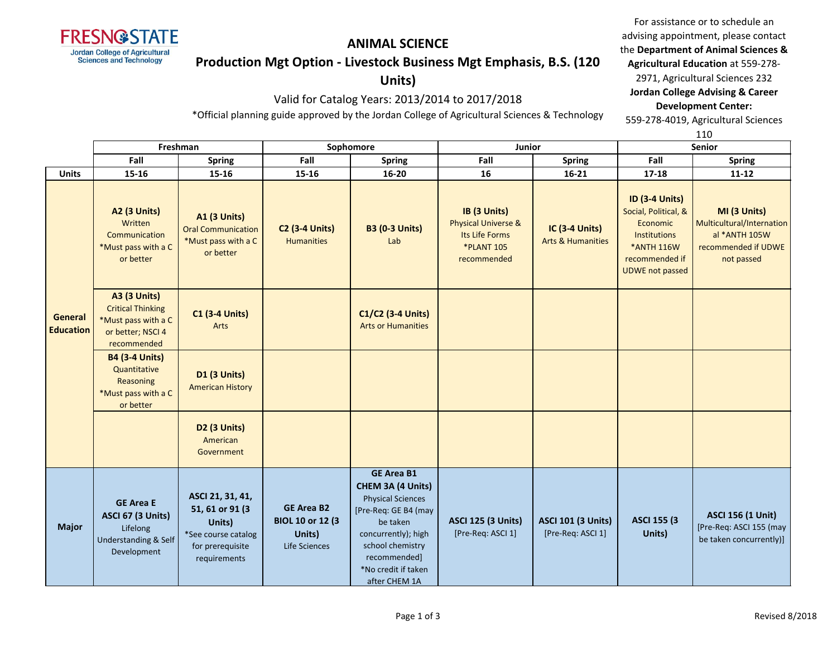

#### **ANIMAL SCIENCE**

#### **Production Mgt Option - Livestock Business Mgt Emphasis, B.S. (120**

### **Units)**

## Valid for Catalog Years: 2013/2014 to 2017/2018

\*Official planning guide approved by the Jordan College of Agricultural Sciences & Technology

For assistance or to schedule an advising appointment, please contact the **Department of Animal Sciences & Agricultural Education** at 559-278- 2971, Agricultural Sciences 232 **Jordan College Advising & Career** 

**Development Center:**

559-278-4019, Agricultural Sciences

|                             |                                                                                                            |                                                                                                           |                                                                          |                                                                                                                                                                                                           |                                                                                                      |                                                       | 110                                                                                                                                               |                                                                                                 |  |
|-----------------------------|------------------------------------------------------------------------------------------------------------|-----------------------------------------------------------------------------------------------------------|--------------------------------------------------------------------------|-----------------------------------------------------------------------------------------------------------------------------------------------------------------------------------------------------------|------------------------------------------------------------------------------------------------------|-------------------------------------------------------|---------------------------------------------------------------------------------------------------------------------------------------------------|-------------------------------------------------------------------------------------------------|--|
|                             |                                                                                                            | Freshman                                                                                                  | Sophomore                                                                |                                                                                                                                                                                                           | Junior                                                                                               |                                                       | <b>Senior</b>                                                                                                                                     |                                                                                                 |  |
|                             | Fall                                                                                                       | <b>Spring</b>                                                                                             | Fall                                                                     | <b>Spring</b>                                                                                                                                                                                             | Fall                                                                                                 | <b>Spring</b>                                         | Fall                                                                                                                                              | <b>Spring</b>                                                                                   |  |
| <b>Units</b>                | 15-16                                                                                                      | 15-16                                                                                                     | 15-16                                                                    | $16 - 20$                                                                                                                                                                                                 | 16                                                                                                   | 16-21                                                 | 17-18                                                                                                                                             | $11 - 12$                                                                                       |  |
| General<br><b>Education</b> | <b>A2 (3 Units)</b><br>Written<br>Communication<br>*Must pass with a C<br>or better                        | <b>A1 (3 Units)</b><br><b>Oral Communication</b><br>*Must pass with a C<br>or better                      | <b>C2 (3-4 Units)</b><br><b>Humanities</b>                               | <b>B3 (0-3 Units)</b><br>Lab                                                                                                                                                                              | IB (3 Units)<br><b>Physical Universe &amp;</b><br>Its Life Forms<br><b>*PLANT 105</b><br>recommended | <b>IC (3-4 Units)</b><br><b>Arts &amp; Humanities</b> | <b>ID (3-4 Units)</b><br>Social, Political, &<br>Economic<br><b>Institutions</b><br><b>*ANTH 116W</b><br>recommended if<br><b>UDWE not passed</b> | MI (3 Units)<br>Multicultural/Internation<br>al *ANTH 105W<br>recommended if UDWE<br>not passed |  |
|                             | <b>A3 (3 Units)</b><br><b>Critical Thinking</b><br>*Must pass with a C<br>or better; NSCI 4<br>recommended | <b>C1 (3-4 Units)</b><br>Arts                                                                             |                                                                          | C1/C2 (3-4 Units)<br><b>Arts or Humanities</b>                                                                                                                                                            |                                                                                                      |                                                       |                                                                                                                                                   |                                                                                                 |  |
|                             | <b>B4 (3-4 Units)</b><br>Quantitative<br>Reasoning<br>*Must pass with a C<br>or better                     | <b>D1 (3 Units)</b><br><b>American History</b>                                                            |                                                                          |                                                                                                                                                                                                           |                                                                                                      |                                                       |                                                                                                                                                   |                                                                                                 |  |
|                             |                                                                                                            | <b>D2 (3 Units)</b><br>American<br>Government                                                             |                                                                          |                                                                                                                                                                                                           |                                                                                                      |                                                       |                                                                                                                                                   |                                                                                                 |  |
| <b>Major</b>                | <b>GE Area E</b><br><b>ASCI 67 (3 Units)</b><br>Lifelong<br><b>Understanding &amp; Self</b><br>Development | ASCI 21, 31, 41,<br>51, 61 or 91 (3)<br>Units)<br>*See course catalog<br>for prerequisite<br>requirements | <b>GE Area B2</b><br><b>BIOL 10 or 12 (3)</b><br>Units)<br>Life Sciences | <b>GE Area B1</b><br>CHEM 3A (4 Units)<br><b>Physical Sciences</b><br>[Pre-Req: GE B4 (may<br>be taken<br>concurrently); high<br>school chemistry<br>recommended]<br>*No credit if taken<br>after CHEM 1A | <b>ASCI 125 (3 Units)</b><br>[Pre-Req: ASCI 1]                                                       | <b>ASCI 101 (3 Units)</b><br>[Pre-Req: ASCI 1]        | <b>ASCI 155 (3)</b><br>Units)                                                                                                                     | <b>ASCI 156 (1 Unit)</b><br>[Pre-Req: ASCI 155 (may<br>be taken concurrently)]                  |  |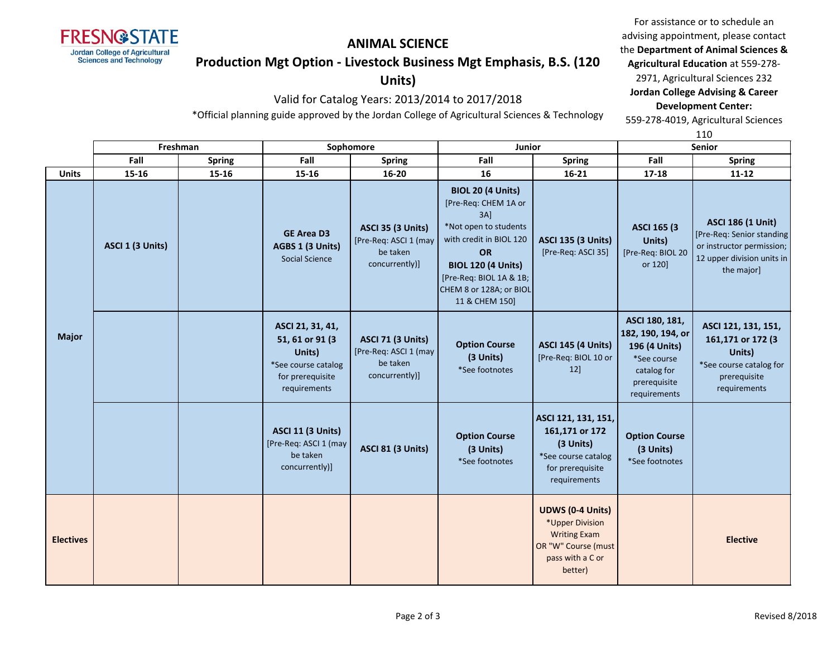

#### **ANIMAL SCIENCE**

#### **Production Mgt Option - Livestock Business Mgt Emphasis, B.S. (120**

### **Units)**

### Valid for Catalog Years: 2013/2014 to 2017/2018

For assistance or to schedule an advising appointment, please contact the **Department of Animal Sciences & Agricultural Education** at 559-278- 2971, Agricultural Sciences 232 **Jordan College Advising & Career** 

**Development Center:**

559-278-4019, Agricultural Sciences

\*Official planning guide approved by the Jordan College of Agricultural Sciences & Technology

|                  |                  |               |                                                                                                           |                                                                                 |                                                                                                                                                                                                                               |                                                                                                                         |                                                                                                                    | 110                                                                                                                            |
|------------------|------------------|---------------|-----------------------------------------------------------------------------------------------------------|---------------------------------------------------------------------------------|-------------------------------------------------------------------------------------------------------------------------------------------------------------------------------------------------------------------------------|-------------------------------------------------------------------------------------------------------------------------|--------------------------------------------------------------------------------------------------------------------|--------------------------------------------------------------------------------------------------------------------------------|
|                  |                  | Freshman      |                                                                                                           | Sophomore                                                                       | <b>Junior</b>                                                                                                                                                                                                                 |                                                                                                                         | <b>Senior</b>                                                                                                      |                                                                                                                                |
|                  | Fall             | <b>Spring</b> | Fall                                                                                                      | <b>Spring</b>                                                                   | Fall                                                                                                                                                                                                                          | <b>Spring</b>                                                                                                           | Fall                                                                                                               | <b>Spring</b>                                                                                                                  |
| <b>Units</b>     | 15-16            | 15-16         | 15-16                                                                                                     | $16 - 20$                                                                       | 16                                                                                                                                                                                                                            | $16 - 21$                                                                                                               | $17 - 18$                                                                                                          | $11 - 12$                                                                                                                      |
| <b>Major</b>     | ASCI 1 (3 Units) |               | <b>GE Area D3</b><br>AGBS 1 (3 Units)<br><b>Social Science</b>                                            | <b>ASCI 35 (3 Units)</b><br>[Pre-Req: ASCI 1 (may<br>be taken<br>concurrently)] | <b>BIOL 20 (4 Units)</b><br>[Pre-Req: CHEM 1A or<br>3AI<br>*Not open to students<br>with credit in BIOL 120<br><b>OR</b><br><b>BIOL 120 (4 Units)</b><br>[Pre-Req: BIOL 1A & 1B;<br>CHEM 8 or 128A; or BIOL<br>11 & CHEM 150] | <b>ASCI 135 (3 Units)</b><br>[Pre-Req: ASCI 35]                                                                         | <b>ASCI 165 (3)</b><br>Units)<br>[Pre-Req: BIOL 20<br>or 120]                                                      | <b>ASCI 186 (1 Unit)</b><br>[Pre-Req: Senior standing<br>or instructor permission;<br>12 upper division units in<br>the major] |
|                  |                  |               | ASCI 21, 31, 41,<br>51, 61 or 91 (3)<br>Units)<br>*See course catalog<br>for prerequisite<br>requirements | <b>ASCI 71 (3 Units)</b><br>[Pre-Req: ASCI 1 (may<br>be taken<br>concurrently)] | <b>Option Course</b><br>(3 Units)<br>*See footnotes                                                                                                                                                                           | <b>ASCI 145 (4 Units)</b><br>[Pre-Req: BIOL 10 or<br>12]                                                                | ASCI 180, 181,<br>182, 190, 194, or<br>196 (4 Units)<br>*See course<br>catalog for<br>prerequisite<br>requirements | ASCI 121, 131, 151,<br>161,171 or 172 (3<br>Units)<br>*See course catalog for<br>prerequisite<br>requirements                  |
|                  |                  |               | <b>ASCI 11 (3 Units)</b><br>[Pre-Req: ASCI 1 (may<br>be taken<br>concurrently)]                           | <b>ASCI 81 (3 Units)</b>                                                        | <b>Option Course</b><br>(3 Units)<br>*See footnotes                                                                                                                                                                           | ASCI 121, 131, 151,<br>161,171 or 172<br>(3 Units)<br>*See course catalog<br>for prerequisite<br>requirements           | <b>Option Course</b><br>(3 Units)<br>*See footnotes                                                                |                                                                                                                                |
| <b>Electives</b> |                  |               |                                                                                                           |                                                                                 |                                                                                                                                                                                                                               | <b>UDWS (0-4 Units)</b><br>*Upper Division<br><b>Writing Exam</b><br>OR "W" Course (must<br>pass with a C or<br>better) |                                                                                                                    | <b>Elective</b>                                                                                                                |